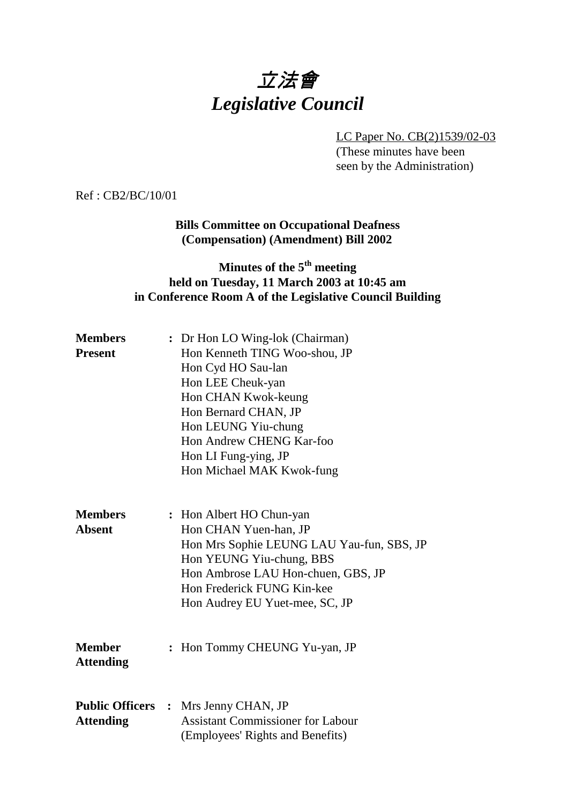# 立法會 *Legislative Council*

LC Paper No. CB(2)1539/02-03 (These minutes have been seen by the Administration)

Ref : CB2/BC/10/01

#### **Bills Committee on Occupational Deafness (Compensation) (Amendment) Bill 2002**

## **Minutes of the 5<sup>th</sup> meeting held on Tuesday, 11 March 2003 at 10:45 am in Conference Room A of the Legislative Council Building**

| <b>Members</b>   | : Dr Hon LO Wing-lok (Chairman)           |
|------------------|-------------------------------------------|
| <b>Present</b>   | Hon Kenneth TING Woo-shou, JP             |
|                  | Hon Cyd HO Sau-lan                        |
|                  | Hon LEE Cheuk-yan                         |
|                  | Hon CHAN Kwok-keung                       |
|                  | Hon Bernard CHAN, JP                      |
|                  | Hon LEUNG Yiu-chung                       |
|                  | Hon Andrew CHENG Kar-foo                  |
|                  | Hon LI Fung-ying, JP                      |
|                  | Hon Michael MAK Kwok-fung                 |
|                  |                                           |
| <b>Members</b>   | : Hon Albert HO Chun-yan                  |
| <b>Absent</b>    | Hon CHAN Yuen-han, JP                     |
|                  | Hon Mrs Sophie LEUNG LAU Yau-fun, SBS, JP |
|                  | Hon YEUNG Yiu-chung, BBS                  |
|                  | Hon Ambrose LAU Hon-chuen, GBS, JP        |
|                  | Hon Frederick FUNG Kin-kee                |
|                  | Hon Audrey EU Yuet-mee, SC, JP            |
| <b>Member</b>    |                                           |
| <b>Attending</b> | : Hon Tommy CHEUNG Yu-yan, JP             |
|                  |                                           |
|                  | Public Officers : Mrs Jenny CHAN, JP      |
| <b>Attending</b> | <b>Assistant Commissioner for Labour</b>  |
|                  | (Employees' Rights and Benefits)          |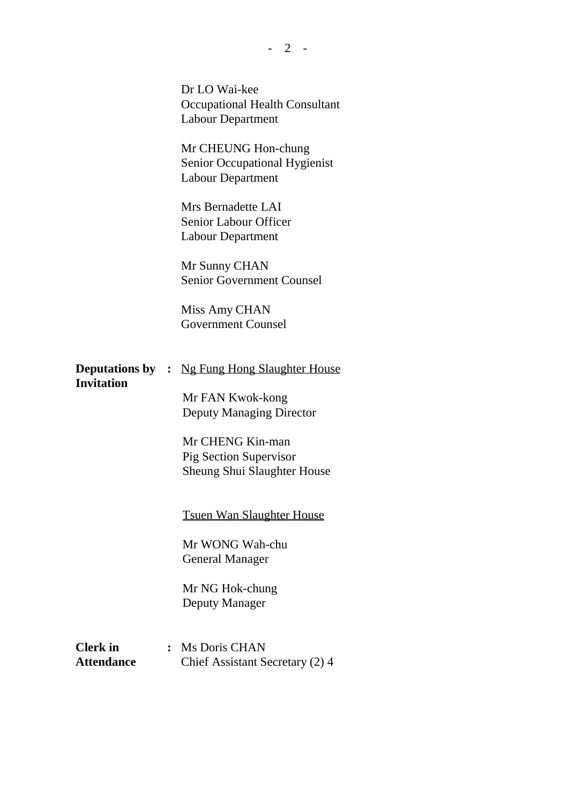|                                      |                | Dr LO Wai-kee<br><b>Occupational Health Consultant</b><br><b>Labour Department</b> |
|--------------------------------------|----------------|------------------------------------------------------------------------------------|
|                                      |                | Mr CHEUNG Hon-chung<br>Senior Occupational Hygienist<br><b>Labour Department</b>   |
|                                      |                | Mrs Bernadette LAI<br><b>Senior Labour Officer</b><br><b>Labour Department</b>     |
|                                      |                | Mr Sunny CHAN<br><b>Senior Government Counsel</b>                                  |
|                                      |                | Miss Amy CHAN<br><b>Government Counsel</b>                                         |
| <b>Invitation</b>                    |                | <b>Deputations by :</b> Ng Fung Hong Slaughter House                               |
|                                      |                | Mr FAN Kwok-kong<br><b>Deputy Managing Director</b>                                |
|                                      |                | Mr CHENG Kin-man<br>Pig Section Supervisor                                         |
|                                      |                | <b>Sheung Shui Slaughter House</b>                                                 |
|                                      |                | <b>Tsuen Wan Slaughter House</b>                                                   |
|                                      |                | Mr WONG Wah-chu<br><b>General Manager</b>                                          |
|                                      |                | Mr NG Hok-chung<br>Deputy Manager                                                  |
| <b>Clerk</b> in<br><b>Attendance</b> | $\ddot{\cdot}$ | Ms Doris CHAN<br>Chief Assistant Secretary (2) 4                                   |

 $- 2 -$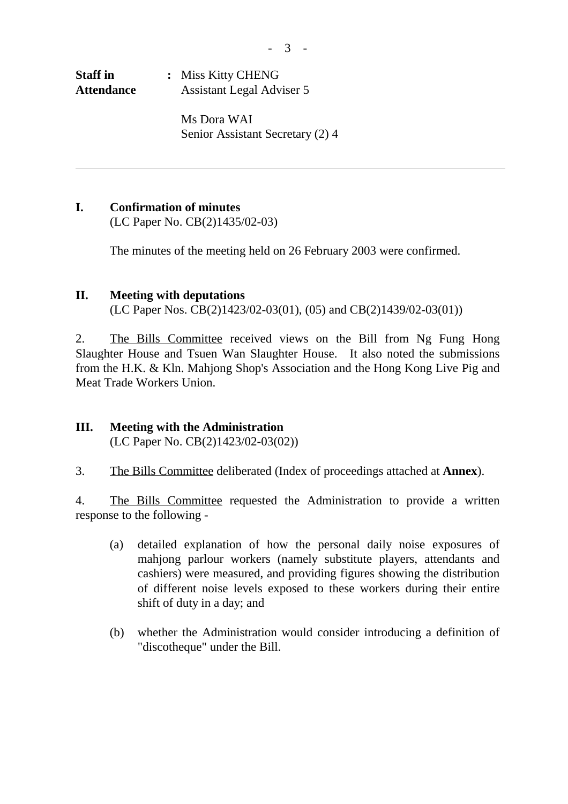ı

**Staff in :** Miss Kitty CHENG **Attendance** Assistant Legal Adviser 5

> Ms Dora WAI Senior Assistant Secretary (2) 4

### **I. Confirmation of minutes**

(LC Paper No. CB(2)1435/02-03)

The minutes of the meeting held on 26 February 2003 were confirmed.

#### **II. Meeting with deputations**

(LC Paper Nos. CB(2)1423/02-03(01), (05) and CB(2)1439/02-03(01))

2. The Bills Committee received views on the Bill from Ng Fung Hong Slaughter House and Tsuen Wan Slaughter House. It also noted the submissions from the H.K. & Kln. Mahjong Shop's Association and the Hong Kong Live Pig and Meat Trade Workers Union.

#### **III. Meeting with the Administration** (LC Paper No. CB(2)1423/02-03(02))

3. The Bills Committee deliberated (Index of proceedings attached at **Annex**).

4. The Bills Committee requested the Administration to provide a written response to the following -

- (a) detailed explanation of how the personal daily noise exposures of mahiong parlour workers (namely substitute players, attendants and cashiers) were measured, and providing figures showing the distribution of different noise levels exposed to these workers during their entire shift of duty in a day; and
- (b) whether the Administration would consider introducing a definition of "discotheque" under the Bill.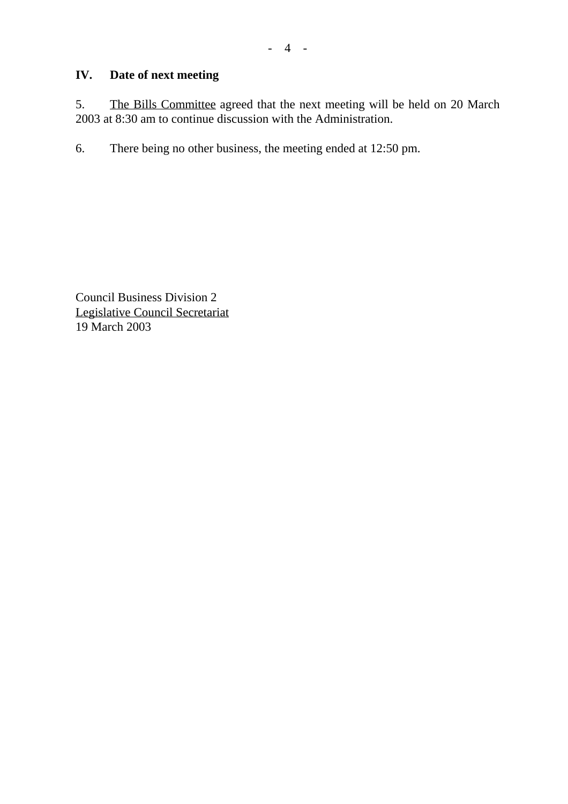# **IV. Date of next meeting**

5. The Bills Committee agreed that the next meeting will be held on 20 March 2003 at 8:30 am to continue discussion with the Administration.

6. There being no other business, the meeting ended at 12:50 pm.

Council Business Division 2 Legislative Council Secretariat 19 March 2003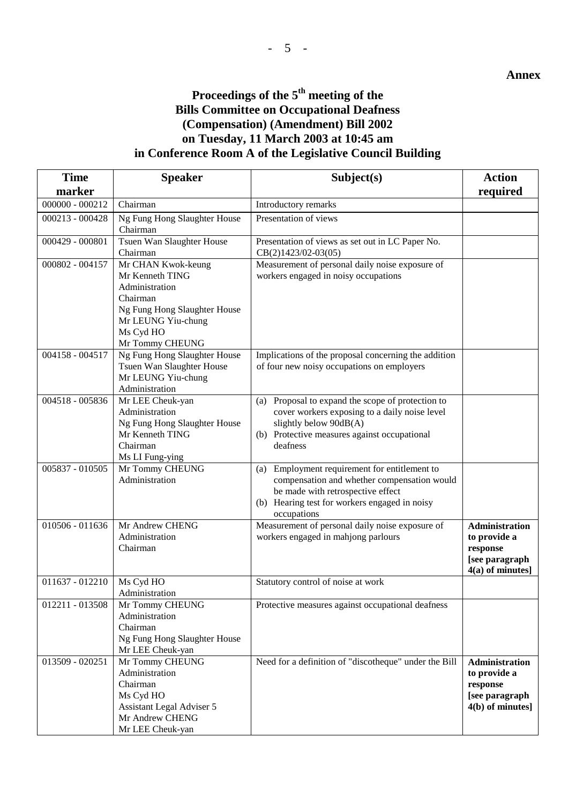#### **Proceedings of the 5th meeting of the Bills Committee on Occupational Deafness (Compensation) (Amendment) Bill 2002 on Tuesday, 11 March 2003 at 10:45 am in Conference Room A of the Legislative Council Building**

| <b>Time</b>                                                 | <b>Speaker</b>                                                                                                                                            | Subject(s)                                                                                                                                                                                        | <b>Action</b>                                                                             |
|-------------------------------------------------------------|-----------------------------------------------------------------------------------------------------------------------------------------------------------|---------------------------------------------------------------------------------------------------------------------------------------------------------------------------------------------------|-------------------------------------------------------------------------------------------|
| marker                                                      |                                                                                                                                                           |                                                                                                                                                                                                   | required                                                                                  |
| $000000 - 000212$                                           | Chairman                                                                                                                                                  | Introductory remarks                                                                                                                                                                              |                                                                                           |
| 000213 - 000428<br>Ng Fung Hong Slaughter House<br>Chairman |                                                                                                                                                           | Presentation of views                                                                                                                                                                             |                                                                                           |
| $000429 - 000801$                                           | Tsuen Wan Slaughter House<br>Chairman                                                                                                                     | Presentation of views as set out in LC Paper No.<br>CB(2)1423/02-03(05)                                                                                                                           |                                                                                           |
| 000802 - 004157                                             | Mr CHAN Kwok-keung<br>Mr Kenneth TING<br>Administration<br>Chairman<br>Ng Fung Hong Slaughter House<br>Mr LEUNG Yiu-chung<br>Ms Cyd HO<br>Mr Tommy CHEUNG | Measurement of personal daily noise exposure of<br>workers engaged in noisy occupations                                                                                                           |                                                                                           |
| 004158 - 004517                                             | Ng Fung Hong Slaughter House<br>Tsuen Wan Slaughter House<br>Mr LEUNG Yiu-chung<br>Administration                                                         | Implications of the proposal concerning the addition<br>of four new noisy occupations on employers                                                                                                |                                                                                           |
| 004518 - 005836                                             | Mr LEE Cheuk-yan<br>Administration<br>Ng Fung Hong Slaughter House<br>Mr Kenneth TING<br>Chairman<br>Ms LI Fung-ying                                      | (a) Proposal to expand the scope of protection to<br>cover workers exposing to a daily noise level<br>slightly below 90dB(A)<br>(b) Protective measures against occupational<br>deafness          |                                                                                           |
| 005837 - 010505                                             | Mr Tommy CHEUNG<br>Administration                                                                                                                         | (a) Employment requirement for entitlement to<br>compensation and whether compensation would<br>be made with retrospective effect<br>(b) Hearing test for workers engaged in noisy<br>occupations |                                                                                           |
| 010506 - 011636                                             | Mr Andrew CHENG<br>Administration<br>Chairman                                                                                                             | Measurement of personal daily noise exposure of<br>workers engaged in mahjong parlours                                                                                                            | <b>Administration</b><br>to provide a<br>response<br>[see paragraph<br>$4(a)$ of minutes] |
| 011637 - 012210                                             | Ms Cyd HO<br>Administration                                                                                                                               | Statutory control of noise at work                                                                                                                                                                |                                                                                           |
| 012211 - 013508                                             | Mr Tommy CHEUNG<br>Administration<br>Chairman<br>Ng Fung Hong Slaughter House<br>Mr LEE Cheuk-yan                                                         | Protective measures against occupational deafness                                                                                                                                                 |                                                                                           |
| 013509 - 020251                                             | Mr Tommy CHEUNG<br>Administration<br>Chairman<br>Ms Cyd HO<br>Assistant Legal Adviser 5<br>Mr Andrew CHENG<br>Mr LEE Cheuk-yan                            | Need for a definition of "discotheque" under the Bill                                                                                                                                             | <b>Administration</b><br>to provide a<br>response<br>[see paragraph]<br>4(b) of minutes]  |